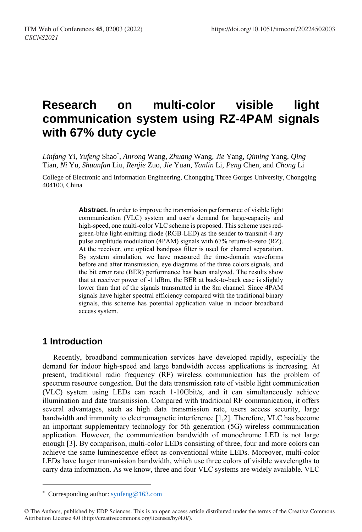# **Research on multi-color visible light communication system using RZ-4PAM signals with 67% duty cycle**

*Linfang* Yi, *Yufeng* Shao\* , *Anrong* Wang, *Zhuang* Wang, *Jie* Yang, *Qiming* Yang, *Qing* Tian, *Ni* Yu, *Shuanfan* Liu, *Renjie* Zuo, *Jie* Yuan, *Yanlin* Li, *Peng* Chen, and *Chong* Li

College of Electronic and Information Engineering, Chongqing Three Gorges University, Chongqing 404100, China

> **Abstract.** In order to improve the transmission performance of visible light communication (VLC) system and user's demand for large-capacity and high-speed, one multi-color VLC scheme is proposed. This scheme uses redgreen-blue light-emitting diode (RGB-LED) as the sender to transmit 4-ary pulse amplitude modulation (4PAM) signals with 67% return-to-zero (RZ). At the receiver, one optical bandpass filter is used for channel separation. By system simulation, we have measured the time-domain waveforms before and after transmission, eye diagrams of the three colors signals, and the bit error rate (BER) performance has been analyzed. The results show that at receiver power of -11dBm, the BER at back-to-back case is slightly lower than that of the signals transmitted in the 8m channel. Since 4PAM signals have higher spectral efficiency compared with the traditional binary signals, this scheme has potential application value in indoor broadband access system.

## **1 Introduction**

 $\overline{a}$ 

Recently, broadband communication services have developed rapidly, especially the demand for indoor high-speed and large bandwidth access applications is increasing. At present, traditional radio frequency (RF) wireless communication has the problem of spectrum resource congestion. But the data transmission rate of visible light communication (VLC) system using LEDs can reach 1-10Gbit/s, and it can simultaneously achieve illumination and date transmission. Compared with traditional RF communication, it offers several advantages, such as high data transmission rate, users access security, large bandwidth and immunity to electromagnetic interference [1,2]. Therefore, VLC has become an important supplementary technology for 5th generation (5G) wireless communication application. However, the communication bandwidth of monochrome LED is not large enough [3]. By comparison, multi-color LEDs consisting of three, four and more colors can achieve the same luminescence effect as conventional white LEDs. Moreover, multi-color LEDs have larger transmission bandwidth, which use three colors of visible wavelengths to carry data information. As we know, three and four VLC systems are widely available. VLC

<sup>\*</sup> Corresponding author[: syufeng@163.com](mailto:syufeng@163.com)

<sup>©</sup> The Authors, published by EDP Sciences. This is an open access article distributed under the terms of the Creative Commons Attribution License 4.0 (http://creativecommons.org/licenses/by/4.0/).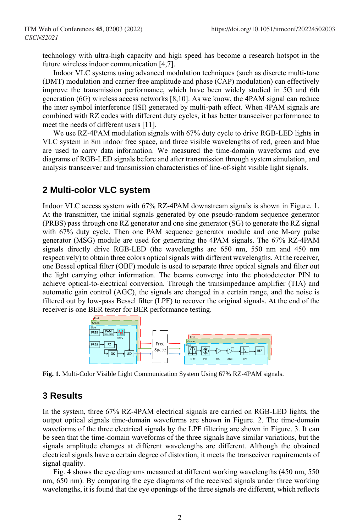technology with ultra-high capacity and high speed has become a research hotspot in the future wireless indoor communication [4,7].

Indoor VLC systems using advanced modulation techniques (such as discrete multi-tone (DMT) modulation and carrier-free amplitude and phase (CAP) modulation) can effectively improve the transmission performance, which have been widely studied in 5G and 6th generation (6G) wireless access networks [8,10]. As we know, the 4PAM signal can reduce the inter symbol interference (ISI) generated by multi-path effect. When 4PAM signals are combined with RZ codes with different duty cycles, it has better transceiver performance to meet the needs of different users [11].

We use RZ-4PAM modulation signals with 67% duty cycle to drive RGB-LED lights in VLC system in 8m indoor free space, and three visible wavelengths of red, green and blue are used to carry data information. We measured the time-domain waveforms and eye diagrams of RGB-LED signals before and after transmission through system simulation, and analysis transceiver and transmission characteristics of line-of-sight visible light signals.

## **2 Multi-color VLC system**

Indoor VLC access system with 67% RZ-4PAM downstream signals is shown in Figure. 1. At the transmitter, the initial signals generated by one pseudo-random sequence generator (PRBS) pass through one RZ generator and one sine generator (SG) to generate the RZ signal with 67% duty cycle. Then one PAM sequence generator module and one M-ary pulse generator (MSG) module are used for generating the 4PAM signals. The 67% RZ-4PAM signals directly drive RGB-LED (the wavelengths are 650 nm, 550 nm and 450 nm respectively) to obtain three colors optical signals with different wavelengths. At the receiver, one Bessel optical filter (OBF) module is used to separate three optical signals and filter out the light carrying other information. The beams converge into the photodetector PIN to achieve optical-to-electrical conversion. Through the transimpedance amplifier (TIA) and automatic gain control (AGC), the signals are changed in a certain range, and the noise is filtered out by low-pass Bessel filter (LPF) to recover the original signals. At the end of the receiver is one BER tester for BER performance testing.



**Fig. 1.** Multi-Color Visible Light Communication System Using 67% RZ-4PAM signals.

#### **3 Results**

In the system, three 67% RZ-4PAM electrical signals are carried on RGB-LED lights, the output optical signals time-domain waveforms are shown in Figure. 2. The time-domain waveforms of the three electrical signals by the LPF filtering are shown in Figure. 3. It can be seen that the time-domain waveforms of the three signals have similar variations, but the signals amplitude changes at different wavelengths are different. Although the obtained electrical signals have a certain degree of distortion, it meets the transceiver requirements of signal quality.

Fig. 4 shows the eye diagrams measured at different working wavelengths (450 nm, 550 nm, 650 nm). By comparing the eye diagrams of the received signals under three working wavelengths, it is found that the eye openings of the three signals are different, which reflects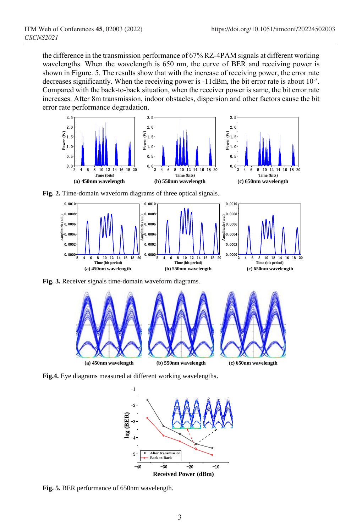the difference in the transmission performance of 67% RZ-4PAM signals at different working wavelengths. When the wavelength is 650 nm, the curve of BER and receiving power is shown in Figure. 5. The results show that with the increase of receiving power, the error rate decreases significantly. When the receiving power is -11dBm, the bit error rate is about 10<sup>-5</sup>. Compared with the back-to-back situation, when the receiver power is same, the bit error rate increases. After 8m transmission, indoor obstacles, dispersion and other factors cause the bit error rate performance degradation.



**Fig. 2.** Time-domain waveform diagrams of three optical signals.



**Fig. 3.** Receiver signals time-domain waveform diagrams.



**Fig.4.** Eye diagrams measured at different working wavelengths.

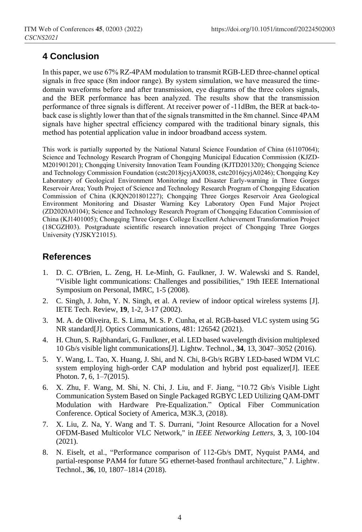# **4 Conclusion**

In this paper, we use 67% RZ-4PAM modulation to transmit RGB-LED three-channel optical signals in free space (8m indoor range). By system simulation, we have measured the timedomain waveforms before and after transmission, eye diagrams of the three colors signals, and the BER performance has been analyzed. The results show that the transmission performance of three signals is different. At receiver power of -11dBm, the BER at back-toback case is slightly lower than that of the signals transmitted in the 8m channel. Since 4PAM signals have higher spectral efficiency compared with the traditional binary signals, this method has potential application value in indoor broadband access system.

This work is partially supported by the National Natural Science Foundation of China (61107064); Science and Technology Research Program of Chongqing Municipal Education Commission (KJZD-M201901201); Chongqing University Innovation Team Founding (KJTD201320); Chongqing Science and Technology Commission Foundation (cstc2018jcyjAX0038, cstc2016jcyjA0246); Chongqing Key Laboratory of Geological Environment Monitoring and Disaster Early-warning in Three Gorges Reservoir Area; Youth Project of Science and Technology Research Program of Chongqing Education Commission of China (KJQN201801227); Chongqing Three Gorges Reservoir Area Geological Environment Monitoring and Disaster Warning Key Laboratory Open Fund Major Project (ZD2020A0104); Science and Technology Research Program of Chongqing Education Commission of China (KJ1401005); Chongqing Three Gorges College Excellent Achievement Transformation Project (18CGZH03). Postgraduate scientific research innovation project of Chongqing Three Gorges University (YJSKY21015).

# **References**

- 1. D. C. O'Brien, L. Zeng, H. Le-Minh, G. Faulkner, J. W. Walewski and S. Randel, "Visible light communications: Challenges and possibilities," 19th IEEE International Symposium on Personal, IMRC, 1-5 (2008).
- 2. C. Singh, J. John, Y. N. Singh, et al. A review of indoor optical wireless systems [J]. IETE Tech. Review, **19**, 1-2, 3-17 (2002).
- 3. M. A. de Oliveira, E. S. Lima, M. S. P. Cunha, et al. RGB-based VLC system using 5G NR standard[J]. Optics Communications, 481: 126542 (2021).
- 4. H. Chun, S. Rajbhandari, G. Faulkner, et al. LED based wavelength division multiplexed 10 Gb/s visible light communications[J]. Lightw. Technol., **34**, 13, 3047–3052 (2016).
- 5. Y. Wang, L. Tao, X. Huang, J. Shi, and N. Chi, 8-Gb/s RGBY LED-based WDM VLC system employing high-order CAP modulation and hybrid post equalizer[J]. IEEE Photon. **7**, 6, 1–7(2015).
- 6. X. Zhu, F. Wang, M. Shi, N. Chi, J. Liu, and F. Jiang, "10.72 Gb/s Visible Light Communication System Based on Single Packaged RGBYC LED Utilizing QAM-DMT Modulation with Hardware Pre-Equalization." Optical Fiber Communication Conference. Optical Society of America, M3K.3, (2018).
- 7. X. Liu, Z. Na, Y. Wang and T. S. Durrani, "Joint Resource Allocation for a Novel OFDM-Based Multicolor VLC Network," in *IEEE Networking Letters*, **3**, 3, 100-104 (2021).
- 8. N. Eiselt, et al., "Performance comparison of 112-Gb/s DMT, Nyquist PAM4, and partial-response PAM4 for future 5G ethernet-based fronthaul architecture," J. Lightw. Technol., **36**, 10, 1807–1814 (2018).